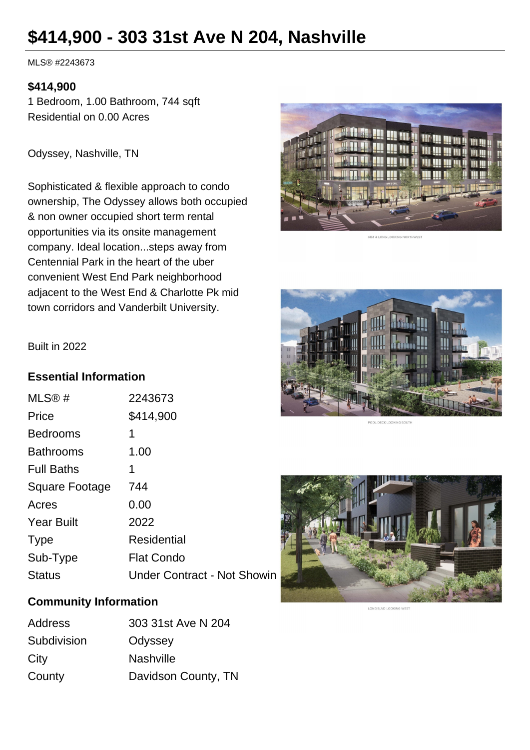# **\$414,900 - 303 31st Ave N 204, Nashville**

MLS® #2243673

#### **\$414,900**

1 Bedroom, 1.00 Bathroom, 744 sqft Residential on 0.00 Acres

Odyssey, Nashville, TN

Sophisticated & flexible approach to condo ownership, The Odyssey allows both occupied & non owner occupied short term rental opportunities via its onsite management company. Ideal location...steps away from Centennial Park in the heart of the uber convenient West End Park neighborhood adjacent to the West End & Charlotte Pk mid town corridors and Vanderbilt University.



**TET RIONE LOOKING NO** 





#### Built in 2022

### **Essential Information**

| MLS@#             | 2243673                     |
|-------------------|-----------------------------|
| Price             | \$414,900                   |
| <b>Bedrooms</b>   | 1                           |
| <b>Bathrooms</b>  | 1.00                        |
| <b>Full Baths</b> | 1                           |
| Square Footage    | 744                         |
| Acres             | 0.00                        |
| <b>Year Built</b> | 2022                        |
| <b>Type</b>       | <b>Residential</b>          |
| Sub-Type          | <b>Flat Condo</b>           |
| Status            | Under Contract - Not Showin |

# **Community Information**

| <b>Address</b> | 303 31st Ave N 204  |
|----------------|---------------------|
| Subdivision    | Odyssey             |
| City           | <b>Nashville</b>    |
| County         | Davidson County, TN |